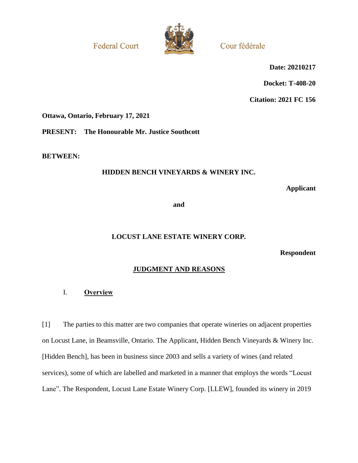**Federal Court** 



Cour fédérale

**Date: 20210217**

**Docket: T-408-20**

**Citation: 2021 FC 156**

**Ottawa, Ontario, February 17, 2021**

**PRESENT: The Honourable Mr. Justice Southcott**

**BETWEEN:**

# **HIDDEN BENCH VINEYARDS & WINERY INC.**

**Applicant**

**and**

# **LOCUST LANE ESTATE WINERY CORP.**

**Respondent**

# **JUDGMENT AND REASONS**

# I. **Overview**

[1] The parties to this matter are two companies that operate wineries on adjacent properties on Locust Lane, in Beamsville, Ontario. The Applicant, Hidden Bench Vineyards & Winery Inc. [Hidden Bench], has been in business since 2003 and sells a variety of wines (and related services), some of which are labelled and marketed in a manner that employs the words "Locust Lane". The Respondent, Locust Lane Estate Winery Corp. [LLEW], founded its winery in 2019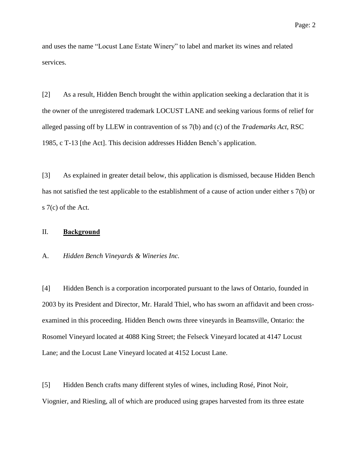and uses the name "Locust Lane Estate Winery" to label and market its wines and related services.

[2] As a result, Hidden Bench brought the within application seeking a declaration that it is the owner of the unregistered trademark LOCUST LANE and seeking various forms of relief for alleged passing off by LLEW in contravention of ss 7(b) and (c) of the *Trademarks Act*, RSC 1985, c T-13 [the Act]. This decision addresses Hidden Bench's application.

[3] As explained in greater detail below, this application is dismissed, because Hidden Bench has not satisfied the test applicable to the establishment of a cause of action under either s 7(b) or s 7(c) of the Act.

## II. **Background**

A. *Hidden Bench Vineyards & Wineries Inc.*

[4] Hidden Bench is a corporation incorporated pursuant to the laws of Ontario, founded in 2003 by its President and Director, Mr. Harald Thiel, who has sworn an affidavit and been crossexamined in this proceeding. Hidden Bench owns three vineyards in Beamsville, Ontario: the Rosomel Vineyard located at 4088 King Street; the Felseck Vineyard located at 4147 Locust Lane; and the Locust Lane Vineyard located at 4152 Locust Lane.

[5] Hidden Bench crafts many different styles of wines, including Rosé, Pinot Noir, Viognier, and Riesling, all of which are produced using grapes harvested from its three estate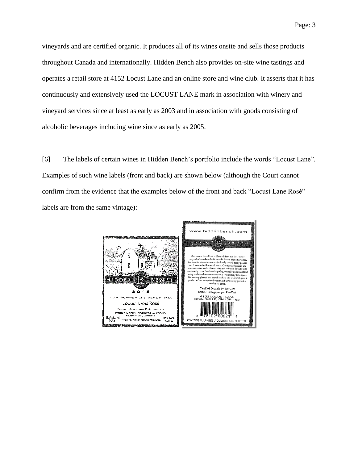vineyards and are certified organic. It produces all of its wines onsite and sells those products throughout Canada and internationally. Hidden Bench also provides on-site wine tastings and operates a retail store at 4152 Locust Lane and an online store and wine club. It asserts that it has continuously and extensively used the LOCUST LANE mark in association with winery and vineyard services since at least as early as 2003 and in association with goods consisting of alcoholic beverages including wine since as early as 2005.

[6] The labels of certain wines in Hidden Bench's portfolio include the words "Locust Lane". Examples of such wine labels (front and back) are shown below (although the Court cannot confirm from the evidence that the examples below of the front and back "Locust Lane Rosé" labels are from the same vintage):

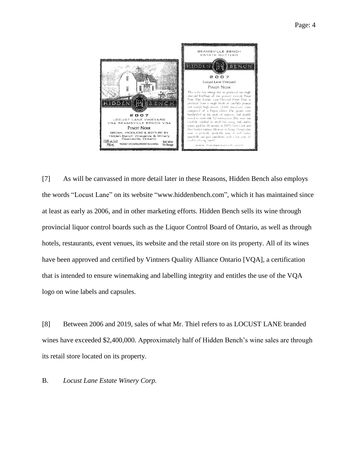

[7] As will be canvassed in more detail later in these Reasons, Hidden Bench also employs the words "Locust Lane" on its website "www.hiddenbench.com", which it has maintained since at least as early as 2006, and in other marketing efforts. Hidden Bench sells its wine through provincial liquor control boards such as the Liquor Control Board of Ontario, as well as through hotels, restaurants, event venues, its website and the retail store on its property. All of its wines have been approved and certified by Vintners Quality Alliance Ontario [VQA], a certification that is intended to ensure winemaking and labelling integrity and entitles the use of the VQA logo on wine labels and capsules.

[8] Between 2006 and 2019, sales of what Mr. Thiel refers to as LOCUST LANE branded wines have exceeded \$2,400,000. Approximately half of Hidden Bench's wine sales are through its retail store located on its property.

B. *Locust Lane Estate Winery Corp.*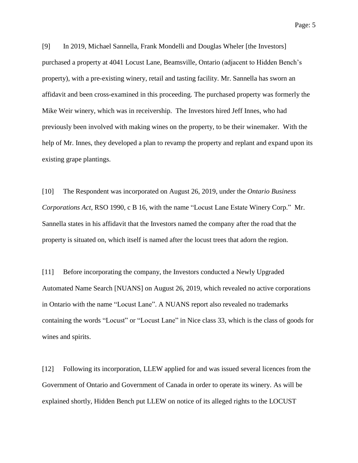Page: 5

[9] In 2019, Michael Sannella, Frank Mondelli and Douglas Wheler [the Investors] purchased a property at 4041 Locust Lane, Beamsville, Ontario (adjacent to Hidden Bench's property), with a pre-existing winery, retail and tasting facility. Mr. Sannella has sworn an affidavit and been cross-examined in this proceeding. The purchased property was formerly the Mike Weir winery, which was in receivership. The Investors hired Jeff Innes, who had previously been involved with making wines on the property, to be their winemaker. With the help of Mr. Innes, they developed a plan to revamp the property and replant and expand upon its existing grape plantings.

[10] The Respondent was incorporated on August 26, 2019, under the *Ontario Business Corporations Act*, RSO 1990, c B 16, with the name "Locust Lane Estate Winery Corp." Mr. Sannella states in his affidavit that the Investors named the company after the road that the property is situated on, which itself is named after the locust trees that adorn the region.

[11] Before incorporating the company, the Investors conducted a Newly Upgraded Automated Name Search [NUANS] on August 26, 2019, which revealed no active corporations in Ontario with the name "Locust Lane". A NUANS report also revealed no trademarks containing the words "Locust" or "Locust Lane" in Nice class 33, which is the class of goods for wines and spirits.

[12] Following its incorporation, LLEW applied for and was issued several licences from the Government of Ontario and Government of Canada in order to operate its winery. As will be explained shortly, Hidden Bench put LLEW on notice of its alleged rights to the LOCUST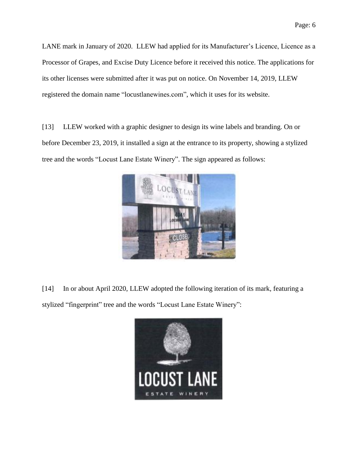LANE mark in January of 2020. LLEW had applied for its Manufacturer's Licence, Licence as a Processor of Grapes, and Excise Duty Licence before it received this notice. The applications for its other licenses were submitted after it was put on notice. On November 14, 2019, LLEW registered the domain name "locustlanewines.com", which it uses for its website.

[13] LLEW worked with a graphic designer to design its wine labels and branding. On or before December 23, 2019, it installed a sign at the entrance to its property, showing a stylized tree and the words "Locust Lane Estate Winery". The sign appeared as follows:



[14] In or about April 2020, LLEW adopted the following iteration of its mark, featuring a stylized "fingerprint" tree and the words "Locust Lane Estate Winery":

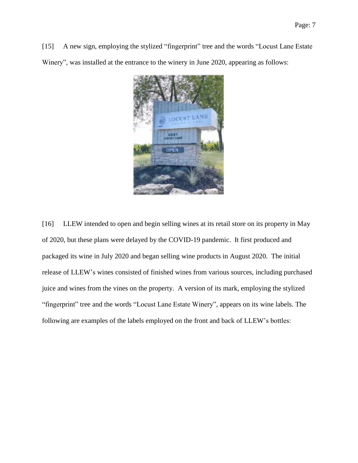[15] A new sign, employing the stylized "fingerprint" tree and the words "Locust Lane Estate Winery", was installed at the entrance to the winery in June 2020, appearing as follows:



[16] LLEW intended to open and begin selling wines at its retail store on its property in May of 2020, but these plans were delayed by the COVID-19 pandemic. It first produced and packaged its wine in July 2020 and began selling wine products in August 2020. The initial release of LLEW's wines consisted of finished wines from various sources, including purchased juice and wines from the vines on the property. A version of its mark, employing the stylized "fingerprint" tree and the words "Locust Lane Estate Winery", appears on its wine labels. The following are examples of the labels employed on the front and back of LLEW's bottles: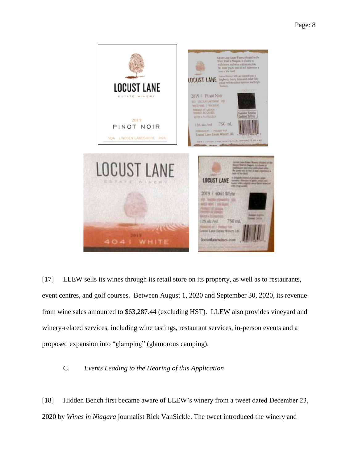

[17] LLEW sells its wines through its retail store on its property, as well as to restaurants, event centres, and golf courses. Between August 1, 2020 and September 30, 2020, its revenue from wine sales amounted to \$63,287.44 (excluding HST). LLEW also provides vineyard and winery-related services, including wine tastings, restaurant services, in-person events and a proposed expansion into "glamping" (glamorous camping).

## C. *Events Leading to the Hearing of this Application*

[18] Hidden Bench first became aware of LLEW's winery from a tweet dated December 23, 2020 by *Wines in Niagara* journalist Rick VanSickle. The tweet introduced the winery and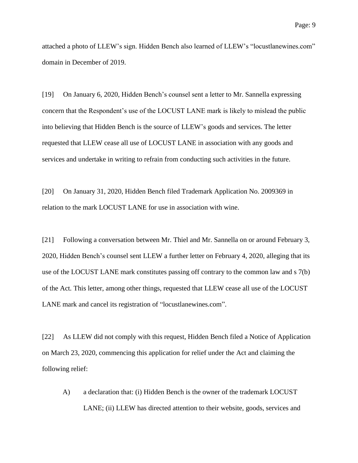attached a photo of LLEW's sign. Hidden Bench also learned of LLEW's "locustlanewines.com" domain in December of 2019.

[19] On January 6, 2020, Hidden Bench's counsel sent a letter to Mr. Sannella expressing concern that the Respondent's use of the LOCUST LANE mark is likely to mislead the public into believing that Hidden Bench is the source of LLEW's goods and services. The letter requested that LLEW cease all use of LOCUST LANE in association with any goods and services and undertake in writing to refrain from conducting such activities in the future.

[20] On January 31, 2020, Hidden Bench filed Trademark Application No. 2009369 in relation to the mark LOCUST LANE for use in association with wine.

[21] Following a conversation between Mr. Thiel and Mr. Sannella on or around February 3, 2020, Hidden Bench's counsel sent LLEW a further letter on February 4, 2020, alleging that its use of the LOCUST LANE mark constitutes passing off contrary to the common law and s 7(b) of the Act*.* This letter, among other things, requested that LLEW cease all use of the LOCUST LANE mark and cancel its registration of "locustlanewines.com".

[22] As LLEW did not comply with this request, Hidden Bench filed a Notice of Application on March 23, 2020, commencing this application for relief under the Act and claiming the following relief:

A) a declaration that: (i) Hidden Bench is the owner of the trademark LOCUST LANE; (ii) LLEW has directed attention to their website, goods, services and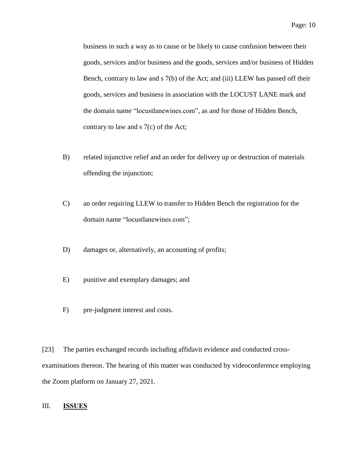business in such a way as to cause or be likely to cause confusion between their goods, services and/or business and the goods, services and/or business of Hidden Bench, contrary to law and s 7(b) of the Act; and (iii) LLEW has passed off their goods, services and business in association with the LOCUST LANE mark and the domain name "locustlanewines.com", as and for those of Hidden Bench, contrary to law and  $s \, 7(c)$  of the Act;

- B) related injunctive relief and an order for delivery up or destruction of materials offending the injunction;
- C) an order requiring LLEW to transfer to Hidden Bench the registration for the domain name "locustlanewines.com";
- D) damages or, alternatively, an accounting of profits;
- E) punitive and exemplary damages; and
- F) pre-judgment interest and costs.

[23] The parties exchanged records including affidavit evidence and conducted crossexaminations thereon. The hearing of this matter was conducted by videoconference employing the Zoom platform on January 27, 2021.

## III. **ISSUES**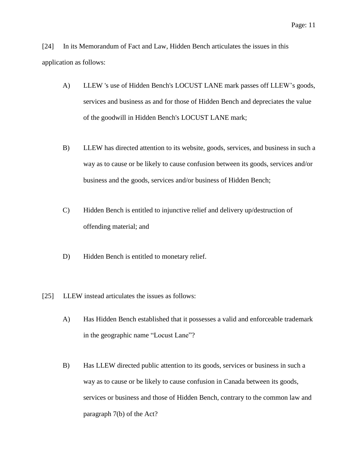[24] In its Memorandum of Fact and Law, Hidden Bench articulates the issues in this application as follows:

- A) LLEW 's use of Hidden Bench's LOCUST LANE mark passes off LLEW's goods, services and business as and for those of Hidden Bench and depreciates the value of the goodwill in Hidden Bench's LOCUST LANE mark;
- B) LLEW has directed attention to its website, goods, services, and business in such a way as to cause or be likely to cause confusion between its goods, services and/or business and the goods, services and/or business of Hidden Bench;
- C) Hidden Bench is entitled to injunctive relief and delivery up/destruction of offending material; and
- D) Hidden Bench is entitled to monetary relief.
- [25] LLEW instead articulates the issues as follows:
	- A) Has Hidden Bench established that it possesses a valid and enforceable trademark in the geographic name "Locust Lane"?
	- B) Has LLEW directed public attention to its goods, services or business in such a way as to cause or be likely to cause confusion in Canada between its goods, services or business and those of Hidden Bench, contrary to the common law and paragraph 7(b) of the Act?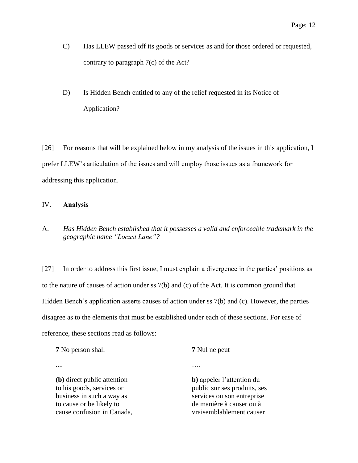- C) Has LLEW passed off its goods or services as and for those ordered or requested, contrary to paragraph 7(c) of the Act?
- D) Is Hidden Bench entitled to any of the relief requested in its Notice of Application?

[26] For reasons that will be explained below in my analysis of the issues in this application, I prefer LLEW's articulation of the issues and will employ those issues as a framework for addressing this application.

## IV. **Analysis**

A. *Has Hidden Bench established that it possesses a valid and enforceable trademark in the geographic name "Locust Lane"?*

[27] In order to address this first issue, I must explain a divergence in the parties' positions as to the nature of causes of action under ss 7(b) and (c) of the Act. It is common ground that Hidden Bench's application asserts causes of action under ss 7(b) and (c). However, the parties disagree as to the elements that must be established under each of these sections. For ease of reference, these sections read as follows:

| <b>7</b> No person shall                                                                                                                        | <b>7</b> Nul ne peut                                                                                                                            |  |
|-------------------------------------------------------------------------------------------------------------------------------------------------|-------------------------------------------------------------------------------------------------------------------------------------------------|--|
|                                                                                                                                                 |                                                                                                                                                 |  |
| (b) direct public attention<br>to his goods, services or<br>business in such a way as<br>to cause or be likely to<br>cause confusion in Canada, | b) appeler l'attention du<br>public sur ses produits, ses<br>services ou son entreprise<br>de manière à causer ou à<br>vraisemblablement causer |  |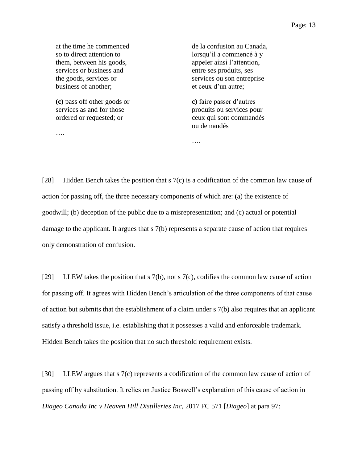**(c)** pass off other goods or services as and for those ordered or requested; or

….

de la confusion au Canada, lorsqu'il a commencé à y appeler ainsi l'attention, entre ses produits, ses services ou son entreprise et ceux d'un autre;

**c)** faire passer d'autres produits ou services pour ceux qui sont commandés ou demandés

[28] Hidden Bench takes the position that s 7(c) is a codification of the common law cause of action for passing off, the three necessary components of which are: (a) the existence of goodwill; (b) deception of the public due to a misrepresentation; and (c) actual or potential damage to the applicant. It argues that s 7(b) represents a separate cause of action that requires only demonstration of confusion.

….

[29] LLEW takes the position that s 7(b), not s 7(c), codifies the common law cause of action for passing off. It agrees with Hidden Bench's articulation of the three components of that cause of action but submits that the establishment of a claim under s 7(b) also requires that an applicant satisfy a threshold issue, i.e. establishing that it possesses a valid and enforceable trademark. Hidden Bench takes the position that no such threshold requirement exists.

[30] LLEW argues that s 7(c) represents a codification of the common law cause of action of passing off by substitution. It relies on Justice Boswell's explanation of this cause of action in *Diageo Canada Inc v Heaven Hill Distilleries Inc*, 2017 FC 571 [*Diageo*] at para 97: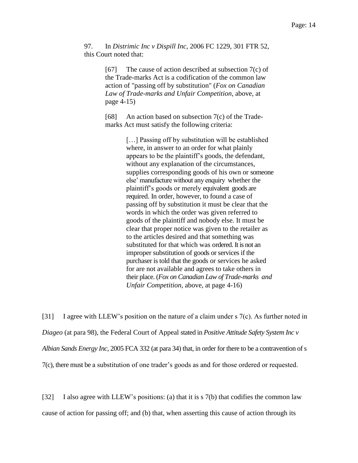97. In *Distrimic Inc v Dispill Inc*, 2006 FC 1229, 301 FTR 52, this Court noted that:

> [67] The cause of action described at subsection 7(c) of the Trade-marks Act is a codification of the common law action of "passing off by substitution" (*Fox on Canadian Law of Trade-marks and Unfair Competition*, above, at page 4-15)

[68] An action based on subsection  $7(c)$  of the Trademarks Act must satisfy the following criteria:

> [...] Passing off by substitution will be established where, in answer to an order for what plainly appears to be the plaintiff's goods, the defendant, without any explanation of the circumstances, supplies corresponding goods of his own or someone else' manufacture without any enquiry whether the plaintiff's goods or merely equivalent goods are required. In order, however, to found a case of passing off by substitution it must be clear that the words in which the order was given referred to goods of the plaintiff and nobody else. It must be clear that proper notice was given to the retailer as to the articles desired and that something was substituted for that which was ordered. It is not an improper substitution of goods or services if the purchaser is told that the goods or services he asked for are not available and agrees to take others in their place. (*Fox on Canadian Law of Trade-marks and Unfair Competition*, above, at page 4-16)

[31] I agree with LLEW's position on the nature of a claim under s 7(c). As further noted in *Diageo* (at para 98), the Federal Court of Appeal stated in *Positive Attitude Safety System Inc v Albian Sands Energy Inc*, 2005 FCA 332 (at para 34) that, in order for there to be a contravention of s 7(c), there must be a substitution of one trader's goods as and for those ordered or requested.

[32] I also agree with LLEW's positions: (a) that it is s 7(b) that codifies the common law cause of action for passing off; and (b) that, when asserting this cause of action through its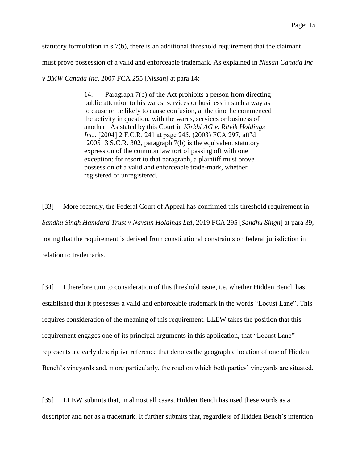statutory formulation in s 7(b), there is an additional threshold requirement that the claimant

must prove possession of a valid and enforceable trademark. As explained in *Nissan Canada Inc* 

*v BMW Canada Inc*, 2007 FCA 255 [*Nissan*] at para 14:

14. Paragraph 7(b) of the Act prohibits a person from directing public attention to his wares, services or business in such a way as to cause or be likely to cause confusion, at the time he commenced the activity in question, with the wares, services or business of another. As stated by this Court in *Kirkbi AG v. Ritvik Holdings Inc.*, [2004] 2 F.C.R. 241 at page 245, (2003) FCA 297, aff'd [2005] 3 S.C.R. 302, paragraph 7(b) is the equivalent statutory expression of the common law tort of passing off with one exception: for resort to that paragraph, a plaintiff must prove possession of a valid and enforceable trade-mark, whether registered or unregistered.

[33] More recently, the Federal Court of Appeal has confirmed this threshold requirement in *Sandhu Singh Hamdard Trust v Navsun Holdings Ltd*, 2019 FCA 295 [*Sandhu Singh*] at para 39, noting that the requirement is derived from constitutional constraints on federal jurisdiction in relation to trademarks.

[34] I therefore turn to consideration of this threshold issue, i.e. whether Hidden Bench has established that it possesses a valid and enforceable trademark in the words "Locust Lane". This requires consideration of the meaning of this requirement. LLEW takes the position that this requirement engages one of its principal arguments in this application, that "Locust Lane" represents a clearly descriptive reference that denotes the geographic location of one of Hidden Bench's vineyards and, more particularly, the road on which both parties' vineyards are situated.

[35] LLEW submits that, in almost all cases, Hidden Bench has used these words as a descriptor and not as a trademark. It further submits that, regardless of Hidden Bench's intention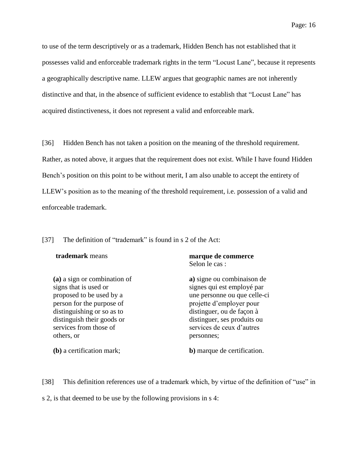to use of the term descriptively or as a trademark, Hidden Bench has not established that it possesses valid and enforceable trademark rights in the term "Locust Lane", because it represents a geographically descriptive name. LLEW argues that geographic names are not inherently distinctive and that, in the absence of sufficient evidence to establish that "Locust Lane" has acquired distinctiveness, it does not represent a valid and enforceable mark.

[36] Hidden Bench has not taken a position on the meaning of the threshold requirement. Rather, as noted above, it argues that the requirement does not exist. While I have found Hidden Bench's position on this point to be without merit, I am also unable to accept the entirety of LLEW's position as to the meaning of the threshold requirement, i.e. possession of a valid and enforceable trademark.

[37] The definition of "trademark" is found in s 2 of the Act:

| <b>trademark</b> means                                                                                                                                                                                             | marque de commerce<br>Selon le cas :                                                                                                                                                                                        |
|--------------------------------------------------------------------------------------------------------------------------------------------------------------------------------------------------------------------|-----------------------------------------------------------------------------------------------------------------------------------------------------------------------------------------------------------------------------|
| (a) a sign or combination of<br>signs that is used or<br>proposed to be used by a<br>person for the purpose of<br>distinguishing or so as to<br>distinguish their goods or<br>services from those of<br>others, or | a) signe ou combinaison de<br>signes qui est employé par<br>une personne ou que celle-ci<br>projette d'employer pour<br>distinguer, ou de façon à<br>distinguer, ses produits ou<br>services de ceux d'autres<br>personnes; |
| (b) a certification mark;                                                                                                                                                                                          | <b>b</b> ) marque de certification.                                                                                                                                                                                         |

[38] This definition references use of a trademark which, by virtue of the definition of "use" in s 2, is that deemed to be use by the following provisions in s 4: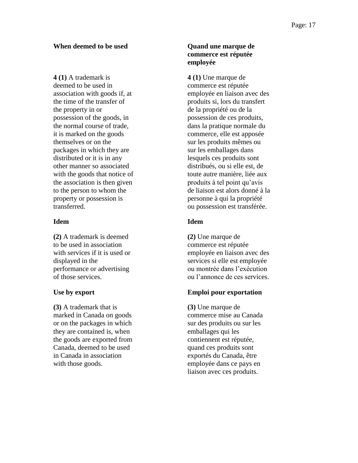## **When deemed to be used Cuand une marque de**

**4 (1)** A trademark is deemed to be used in association with goods if, at the time of the transfer of the property in or possession of the goods, in the normal course of trade, it is marked on the goods themselves or on the packages in which they are distributed or it is in any other manner so associated with the goods that notice of the association is then given to the person to whom the property or possession is transferred.

## **Idem Idem**

**(2)** A trademark is deemed to be used in association with services if it is used or displayed in the performance or advertising of those services.

**(3)** A trademark that is marked in Canada on goods or on the packages in which they are contained is, when the goods are exported from Canada, deemed to be used in Canada in association with those goods.

# **commerce est réputée employée**

**4 (1)** Une marque de commerce est réputée employée en liaison avec des produits si, lors du transfert de la propriété ou de la possession de ces produits, dans la pratique normale du commerce, elle est apposée sur les produits mêmes ou sur les emballages dans lesquels ces produits sont distribués, ou si elle est, de toute autre manière, liée aux produits à tel point qu'avis de liaison est alors donné à la personne à qui la propriété ou possession est transférée.

**(2)** Une marque de commerce est réputée employée en liaison avec des services si elle est employée ou montrée dans l'exécution ou l'annonce de ces services.

# **Use by export Emploi pour exportation**

**(3)** Une marque de commerce mise au Canada sur des produits ou sur les emballages qui les contiennent est réputée, quand ces produits sont exportés du Canada, être employée dans ce pays en liaison avec ces produits.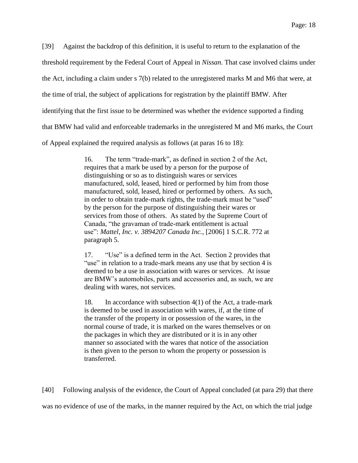[39] Against the backdrop of this definition, it is useful to return to the explanation of the threshold requirement by the Federal Court of Appeal in *Nissan*. That case involved claims under the Act, including a claim under s 7(b) related to the unregistered marks M and M6 that were, at the time of trial, the subject of applications for registration by the plaintiff BMW. After identifying that the first issue to be determined was whether the evidence supported a finding that BMW had valid and enforceable trademarks in the unregistered M and M6 marks, the Court

of Appeal explained the required analysis as follows (at paras 16 to 18):

16. The term "trade-mark", as defined in section 2 of the Act, requires that a mark be used by a person for the purpose of distinguishing or so as to distinguish wares or services manufactured, sold, leased, hired or performed by him from those manufactured, sold, leased, hired or performed by others. As such, in order to obtain trade-mark rights, the trade-mark must be "used" by the person for the purpose of distinguishing their wares or services from those of others. As stated by the Supreme Court of Canada, "the gravaman of trade-mark entitlement is actual use": *Mattel, Inc. v. 3894207 Canada Inc.*, [2006] 1 S.C.R. 772 at paragraph 5.

17. "Use" is a defined term in the Act. Section 2 provides that "use" in relation to a trade-mark means any use that by section 4 is deemed to be a use in association with wares or services. At issue are BMW's automobiles, parts and accessories and, as such, we are dealing with wares, not services.

18. In accordance with subsection 4(1) of the Act, a trade-mark is deemed to be used in association with wares, if, at the time of the transfer of the property in or possession of the wares, in the normal course of trade, it is marked on the wares themselves or on the packages in which they are distributed or it is in any other manner so associated with the wares that notice of the association is then given to the person to whom the property or possession is transferred.

[40] Following analysis of the evidence, the Court of Appeal concluded (at para 29) that there was no evidence of use of the marks, in the manner required by the Act, on which the trial judge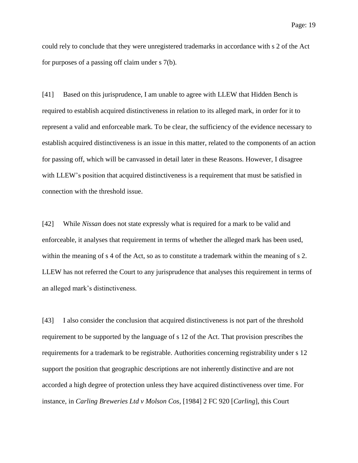could rely to conclude that they were unregistered trademarks in accordance with s 2 of the Act for purposes of a passing off claim under s 7(b).

[41] Based on this jurisprudence, I am unable to agree with LLEW that Hidden Bench is required to establish acquired distinctiveness in relation to its alleged mark, in order for it to represent a valid and enforceable mark. To be clear, the sufficiency of the evidence necessary to establish acquired distinctiveness is an issue in this matter, related to the components of an action for passing off, which will be canvassed in detail later in these Reasons. However, I disagree with LLEW's position that acquired distinctiveness is a requirement that must be satisfied in connection with the threshold issue.

[42] While *Nissan* does not state expressly what is required for a mark to be valid and enforceable, it analyses that requirement in terms of whether the alleged mark has been used, within the meaning of s 4 of the Act, so as to constitute a trademark within the meaning of s 2. LLEW has not referred the Court to any jurisprudence that analyses this requirement in terms of an alleged mark's distinctiveness.

[43] I also consider the conclusion that acquired distinctiveness is not part of the threshold requirement to be supported by the language of s 12 of the Act. That provision prescribes the requirements for a trademark to be registrable. Authorities concerning registrability under s 12 support the position that geographic descriptions are not inherently distinctive and are not accorded a high degree of protection unless they have acquired distinctiveness over time. For instance, in *Carling Breweries Ltd v Molson Cos*, [1984] 2 FC 920 [*Carling*], this Court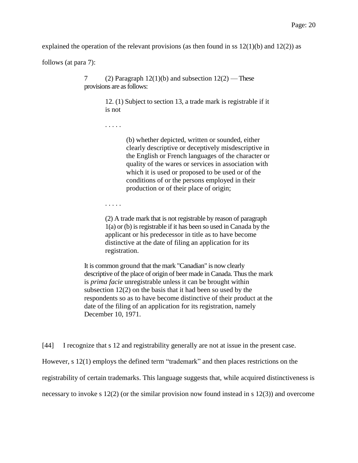explained the operation of the relevant provisions (as then found in ss  $12(1)(b)$  and  $12(2)$ ) as

follows (at para 7):

7 (2) Paragraph  $12(1)(b)$  and subsection  $12(2)$  — These provisions are as follows:

> 12. (1) Subject to section 13, a trade mark is registrable if it is not

. . . . .

(b) whether depicted, written or sounded, either clearly descriptive or deceptively misdescriptive in the English or French languages of the character or quality of the wares or services in association with which it is used or proposed to be used or of the conditions of or the persons employed in their production or of their place of origin;

. . . . .

(2) A trade mark that is not registrable by reason of paragraph 1(a) or (b) is registrable if it has been so used in Canada by the applicant or his predecessor in title as to have become distinctive at the date of filing an application for its registration.

It is common ground that the mark "Canadian" is now clearly descriptive of the place of origin of beer made in Canada. Thus the mark is *prima facie* unregistrable unless it can be brought within subsection 12(2) on the basis that it had been so used by the respondents so as to have become distinctive of their product at the date of the filing of an application for its registration, namely December 10, 1971.

[44] I recognize that s 12 and registrability generally are not at issue in the present case.

However, s 12(1) employs the defined term "trademark" and then places restrictions on the

registrability of certain trademarks. This language suggests that, while acquired distinctiveness is

necessary to invoke s 12(2) (or the similar provision now found instead in s 12(3)) and overcome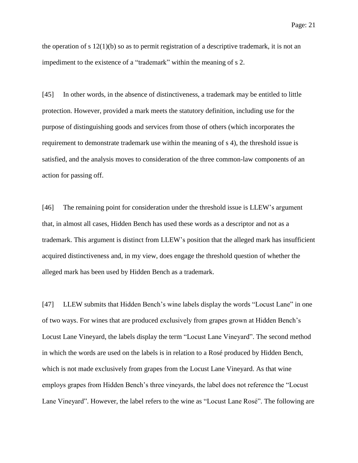the operation of s  $12(1)(b)$  so as to permit registration of a descriptive trademark, it is not an impediment to the existence of a "trademark" within the meaning of s 2.

[45] In other words, in the absence of distinctiveness, a trademark may be entitled to little protection. However, provided a mark meets the statutory definition, including use for the purpose of distinguishing goods and services from those of others (which incorporates the requirement to demonstrate trademark use within the meaning of s 4), the threshold issue is satisfied, and the analysis moves to consideration of the three common-law components of an action for passing off.

[46] The remaining point for consideration under the threshold issue is LLEW's argument that, in almost all cases, Hidden Bench has used these words as a descriptor and not as a trademark. This argument is distinct from LLEW's position that the alleged mark has insufficient acquired distinctiveness and, in my view, does engage the threshold question of whether the alleged mark has been used by Hidden Bench as a trademark.

[47] LLEW submits that Hidden Bench's wine labels display the words "Locust Lane" in one of two ways. For wines that are produced exclusively from grapes grown at Hidden Bench's Locust Lane Vineyard, the labels display the term "Locust Lane Vineyard". The second method in which the words are used on the labels is in relation to a Rosé produced by Hidden Bench, which is not made exclusively from grapes from the Locust Lane Vineyard. As that wine employs grapes from Hidden Bench's three vineyards, the label does not reference the "Locust Lane Vineyard". However, the label refers to the wine as "Locust Lane Rosé". The following are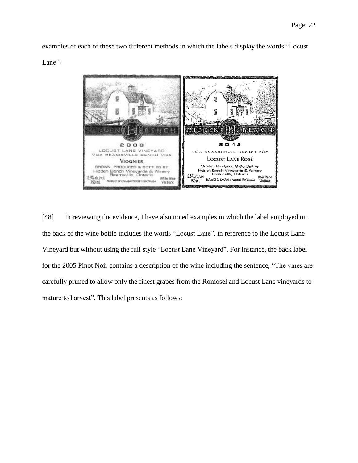examples of each of these two different methods in which the labels display the words "Locust Lane":



[48] In reviewing the evidence, I have also noted examples in which the label employed on the back of the wine bottle includes the words "Locust Lane", in reference to the Locust Lane Vineyard but without using the full style "Locust Lane Vineyard". For instance, the back label for the 2005 Pinot Noir contains a description of the wine including the sentence, "The vines are carefully pruned to allow only the finest grapes from the Romosel and Locust Lane vineyards to mature to harvest". This label presents as follows: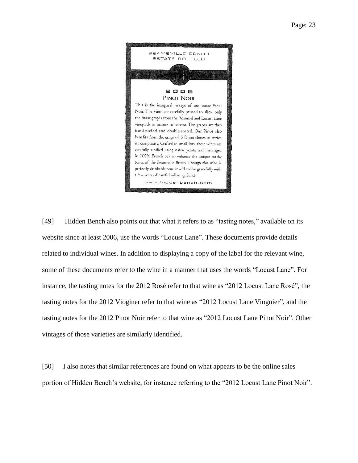

[49] Hidden Bench also points out that what it refers to as "tasting notes," available on its website since at least 2006, use the words "Locust Lane". These documents provide details related to individual wines. In addition to displaying a copy of the label for the relevant wine, some of these documents refer to the wine in a manner that uses the words "Locust Lane". For instance, the tasting notes for the 2012 Rosé refer to that wine as "2012 Locust Lane Rosé", the tasting notes for the 2012 Vioginer refer to that wine as "2012 Locust Lane Viognier", and the tasting notes for the 2012 Pinot Noir refer to that wine as "2012 Locust Lane Pinot Noir". Other vintages of those varieties are similarly identified.

[50] I also notes that similar references are found on what appears to be the online sales portion of Hidden Bench's website, for instance referring to the "2012 Locust Lane Pinot Noir".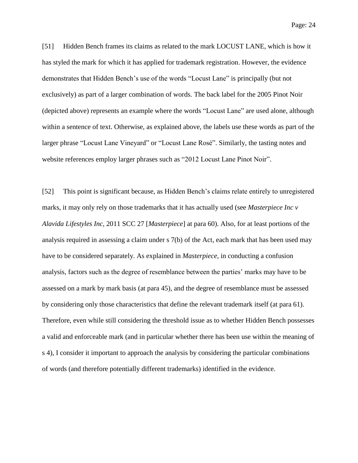Page: 24

[51] Hidden Bench frames its claims as related to the mark LOCUST LANE, which is how it has styled the mark for which it has applied for trademark registration. However, the evidence demonstrates that Hidden Bench's use of the words "Locust Lane" is principally (but not exclusively) as part of a larger combination of words. The back label for the 2005 Pinot Noir (depicted above) represents an example where the words "Locust Lane" are used alone, although within a sentence of text. Otherwise, as explained above, the labels use these words as part of the larger phrase "Locust Lane Vineyard" or "Locust Lane Rosé". Similarly, the tasting notes and website references employ larger phrases such as "2012 Locust Lane Pinot Noir".

[52] This point is significant because, as Hidden Bench's claims relate entirely to unregistered marks, it may only rely on those trademarks that it has actually used (see *Masterpiece Inc v Alavida Lifestyles Inc*, 2011 SCC 27 [*Masterpiece*] at para 60). Also, for at least portions of the analysis required in assessing a claim under s 7(b) of the Act, each mark that has been used may have to be considered separately. As explained in *Masterpiece*, in conducting a confusion analysis, factors such as the degree of resemblance between the parties' marks may have to be assessed on a mark by mark basis (at para 45), and the degree of resemblance must be assessed by considering only those characteristics that define the relevant trademark itself (at para 61). Therefore, even while still considering the threshold issue as to whether Hidden Bench possesses a valid and enforceable mark (and in particular whether there has been use within the meaning of s 4), I consider it important to approach the analysis by considering the particular combinations of words (and therefore potentially different trademarks) identified in the evidence.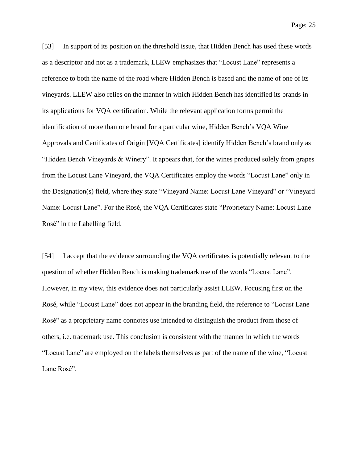[53] In support of its position on the threshold issue, that Hidden Bench has used these words as a descriptor and not as a trademark, LLEW emphasizes that "Locust Lane" represents a reference to both the name of the road where Hidden Bench is based and the name of one of its vineyards. LLEW also relies on the manner in which Hidden Bench has identified its brands in its applications for VQA certification. While the relevant application forms permit the identification of more than one brand for a particular wine, Hidden Bench's VQA Wine Approvals and Certificates of Origin [VQA Certificates] identify Hidden Bench's brand only as "Hidden Bench Vineyards & Winery". It appears that, for the wines produced solely from grapes from the Locust Lane Vineyard, the VQA Certificates employ the words "Locust Lane" only in the Designation(s) field, where they state "Vineyard Name: Locust Lane Vineyard" or "Vineyard Name: Locust Lane". For the Rosé, the VQA Certificates state "Proprietary Name: Locust Lane Rosé" in the Labelling field.

[54] I accept that the evidence surrounding the VQA certificates is potentially relevant to the question of whether Hidden Bench is making trademark use of the words "Locust Lane". However, in my view, this evidence does not particularly assist LLEW. Focusing first on the Rosé, while "Locust Lane" does not appear in the branding field, the reference to "Locust Lane Rosé" as a proprietary name connotes use intended to distinguish the product from those of others, i.e. trademark use. This conclusion is consistent with the manner in which the words "Locust Lane" are employed on the labels themselves as part of the name of the wine, "Locust Lane Rosé".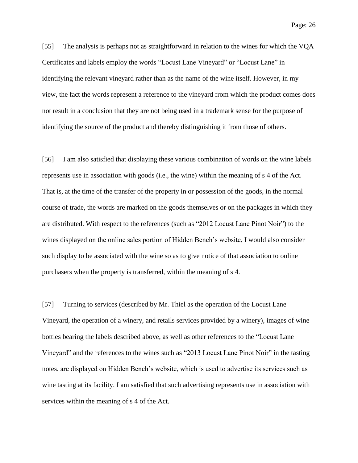[55] The analysis is perhaps not as straightforward in relation to the wines for which the VQA Certificates and labels employ the words "Locust Lane Vineyard" or "Locust Lane" in identifying the relevant vineyard rather than as the name of the wine itself. However, in my view, the fact the words represent a reference to the vineyard from which the product comes does not result in a conclusion that they are not being used in a trademark sense for the purpose of identifying the source of the product and thereby distinguishing it from those of others.

[56] I am also satisfied that displaying these various combination of words on the wine labels represents use in association with goods (i.e., the wine) within the meaning of s 4 of the Act. That is, at the time of the transfer of the property in or possession of the goods, in the normal course of trade, the words are marked on the goods themselves or on the packages in which they are distributed. With respect to the references (such as "2012 Locust Lane Pinot Noir") to the wines displayed on the online sales portion of Hidden Bench's website, I would also consider such display to be associated with the wine so as to give notice of that association to online purchasers when the property is transferred, within the meaning of s 4.

[57] Turning to services (described by Mr. Thiel as the operation of the Locust Lane Vineyard, the operation of a winery, and retails services provided by a winery), images of wine bottles bearing the labels described above, as well as other references to the "Locust Lane Vineyard" and the references to the wines such as "2013 Locust Lane Pinot Noir" in the tasting notes, are displayed on Hidden Bench's website, which is used to advertise its services such as wine tasting at its facility. I am satisfied that such advertising represents use in association with services within the meaning of s 4 of the Act.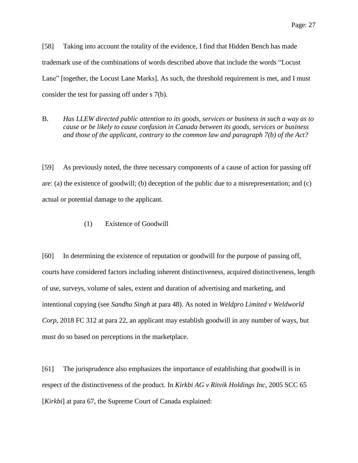[58] Taking into account the totality of the evidence, I find that Hidden Bench has made trademark use of the combinations of words described above that include the words "Locust Lane" [together, the Locust Lane Marks]. As such, the threshold requirement is met, and I must consider the test for passing off under s 7(b).

B. *Has LLEW directed public attention to its goods, services or business in such a way as to cause or be likely to cause confusion in Canada between its goods, services or business and those of the applicant, contrary to the common law and paragraph 7(b) of the Act?*

[59] As previously noted, the three necessary components of a cause of action for passing off are: (a) the existence of goodwill; (b) deception of the public due to a misrepresentation; and (c) actual or potential damage to the applicant.

(1) Existence of Goodwill

[60] In determining the existence of reputation or goodwill for the purpose of passing off, courts have considered factors including inherent distinctiveness, acquired distinctiveness, length of use, surveys, volume of sales, extent and duration of advertising and marketing, and intentional copying (see *Sandhu Singh* at para 48). As noted in *Weldpro Limited v Weldworld Corp*, 2018 FC 312 at para 22, an applicant may establish goodwill in any number of ways, but must do so based on perceptions in the marketplace.

[61] The jurisprudence also emphasizes the importance of establishing that goodwill is in respect of the distinctiveness of the product. In *Kirkbi AG v Ritvik Holdings Inc*, 2005 SCC 65 [*Kirkbi*] at para 67, the Supreme Court of Canada explained: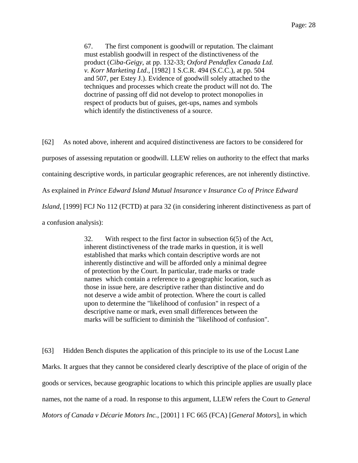67. The first component is goodwill or reputation. The claimant must establish goodwill in respect of the distinctiveness of the product (*Ciba-Geigy*, at pp. 132-33; *Oxford Pendaflex Canada Ltd. v. Korr Marketing Ltd*., [1982] 1 S.C.R. 494 (S.C.C.), at pp. 504 and 507, per Estey J.). Evidence of goodwill solely attached to the techniques and processes which create the product will not do. The doctrine of passing off did not develop to protect monopolies in respect of products but of guises, get-ups, names and symbols which identify the distinctiveness of a source.

[62] As noted above, inherent and acquired distinctiveness are factors to be considered for purposes of assessing reputation or goodwill. LLEW relies on authority to the effect that marks containing descriptive words, in particular geographic references, are not inherently distinctive. As explained in *Prince Edward Island Mutual Insurance v Insurance Co of Prince Edward Island*, [1999] FCJ No 112 (FCTD) at para 32 (in considering inherent distinctiveness as part of a confusion analysis):

> 32. With respect to the first factor in subsection 6(5) of the Act, inherent distinctiveness of the trade marks in question, it is well established that marks which contain descriptive words are not inherently distinctive and will be afforded only a minimal degree of protection by the Court. In particular, trade marks or trade names which contain a reference to a geographic location, such as those in issue here, are descriptive rather than distinctive and do not deserve a wide ambit of protection. Where the court is called upon to determine the "likelihood of confusion" in respect of a descriptive name or mark, even small differences between the marks will be sufficient to diminish the "likelihood of confusion".

[63] Hidden Bench disputes the application of this principle to its use of the Locust Lane Marks. It argues that they cannot be considered clearly descriptive of the place of origin of the goods or services, because geographic locations to which this principle applies are usually place names, not the name of a road. In response to this argument, LLEW refers the Court to *General Motors of Canada v Décarie Motors Inc.*, [2001] 1 FC 665 (FCA) [*General Motors*], in which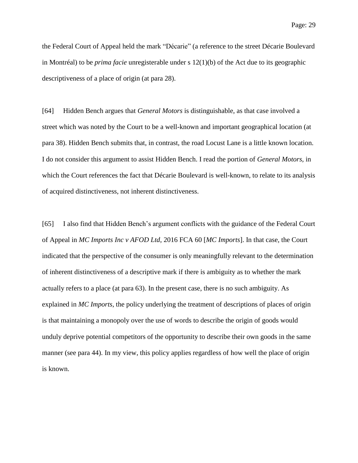Page: 29

the Federal Court of Appeal held the mark "Décarie" (a reference to the street Décarie Boulevard in Montréal) to be *prima facie* unregisterable under s 12(1)(b) of the Act due to its geographic descriptiveness of a place of origin (at para 28).

[64] Hidden Bench argues that *General Motors* is distinguishable, as that case involved a street which was noted by the Court to be a well-known and important geographical location (at para 38). Hidden Bench submits that, in contrast, the road Locust Lane is a little known location. I do not consider this argument to assist Hidden Bench. I read the portion of *General Motors,* in which the Court references the fact that Décarie Boulevard is well-known, to relate to its analysis of acquired distinctiveness, not inherent distinctiveness.

[65] I also find that Hidden Bench's argument conflicts with the guidance of the Federal Court of Appeal in *MC Imports Inc v AFOD Ltd*, 2016 FCA 60 [*MC Imports*]. In that case, the Court indicated that the perspective of the consumer is only meaningfully relevant to the determination of inherent distinctiveness of a descriptive mark if there is ambiguity as to whether the mark actually refers to a place (at para 63). In the present case, there is no such ambiguity. As explained in *MC Imports*, the policy underlying the treatment of descriptions of places of origin is that maintaining a monopoly over the use of words to describe the origin of goods would unduly deprive potential competitors of the opportunity to describe their own goods in the same manner (see para 44). In my view, this policy applies regardless of how well the place of origin is known.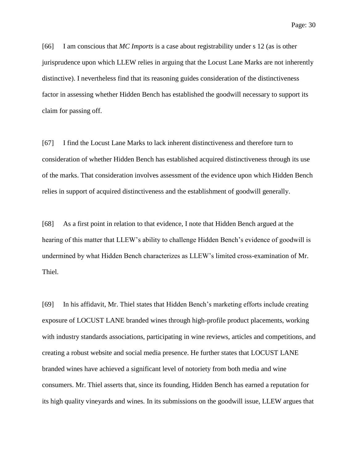Page: 30

[66] I am conscious that *MC Imports* is a case about registrability under s 12 (as is other jurisprudence upon which LLEW relies in arguing that the Locust Lane Marks are not inherently distinctive). I nevertheless find that its reasoning guides consideration of the distinctiveness factor in assessing whether Hidden Bench has established the goodwill necessary to support its claim for passing off.

[67] I find the Locust Lane Marks to lack inherent distinctiveness and therefore turn to consideration of whether Hidden Bench has established acquired distinctiveness through its use of the marks. That consideration involves assessment of the evidence upon which Hidden Bench relies in support of acquired distinctiveness and the establishment of goodwill generally.

[68] As a first point in relation to that evidence, I note that Hidden Bench argued at the hearing of this matter that LLEW's ability to challenge Hidden Bench's evidence of goodwill is undermined by what Hidden Bench characterizes as LLEW's limited cross-examination of Mr. Thiel.

[69] In his affidavit, Mr. Thiel states that Hidden Bench's marketing efforts include creating exposure of LOCUST LANE branded wines through high-profile product placements, working with industry standards associations, participating in wine reviews, articles and competitions, and creating a robust website and social media presence. He further states that LOCUST LANE branded wines have achieved a significant level of notoriety from both media and wine consumers. Mr. Thiel asserts that, since its founding, Hidden Bench has earned a reputation for its high quality vineyards and wines. In its submissions on the goodwill issue, LLEW argues that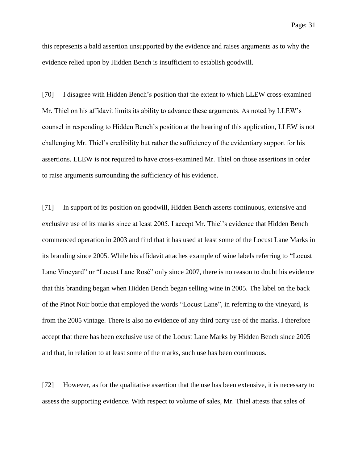this represents a bald assertion unsupported by the evidence and raises arguments as to why the evidence relied upon by Hidden Bench is insufficient to establish goodwill.

[70] I disagree with Hidden Bench's position that the extent to which LLEW cross-examined Mr. Thiel on his affidavit limits its ability to advance these arguments. As noted by LLEW's counsel in responding to Hidden Bench's position at the hearing of this application, LLEW is not challenging Mr. Thiel's credibility but rather the sufficiency of the evidentiary support for his assertions. LLEW is not required to have cross-examined Mr. Thiel on those assertions in order to raise arguments surrounding the sufficiency of his evidence.

[71] In support of its position on goodwill, Hidden Bench asserts continuous, extensive and exclusive use of its marks since at least 2005. I accept Mr. Thiel's evidence that Hidden Bench commenced operation in 2003 and find that it has used at least some of the Locust Lane Marks in its branding since 2005. While his affidavit attaches example of wine labels referring to "Locust Lane Vineyard" or "Locust Lane Rosé" only since 2007, there is no reason to doubt his evidence that this branding began when Hidden Bench began selling wine in 2005. The label on the back of the Pinot Noir bottle that employed the words "Locust Lane", in referring to the vineyard, is from the 2005 vintage. There is also no evidence of any third party use of the marks. I therefore accept that there has been exclusive use of the Locust Lane Marks by Hidden Bench since 2005 and that, in relation to at least some of the marks, such use has been continuous.

[72] However, as for the qualitative assertion that the use has been extensive, it is necessary to assess the supporting evidence. With respect to volume of sales, Mr. Thiel attests that sales of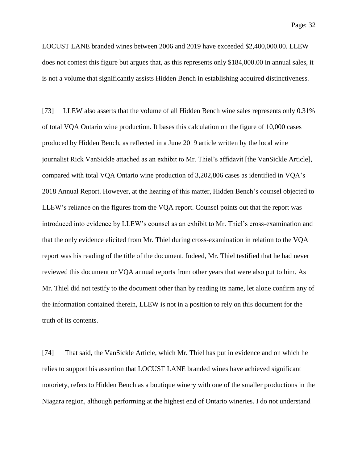LOCUST LANE branded wines between 2006 and 2019 have exceeded \$2,400,000.00. LLEW does not contest this figure but argues that, as this represents only \$184,000.00 in annual sales, it is not a volume that significantly assists Hidden Bench in establishing acquired distinctiveness.

[73] LLEW also asserts that the volume of all Hidden Bench wine sales represents only 0.31% of total VQA Ontario wine production. It bases this calculation on the figure of 10,000 cases produced by Hidden Bench, as reflected in a June 2019 article written by the local wine journalist Rick VanSickle attached as an exhibit to Mr. Thiel's affidavit [the VanSickle Article], compared with total VQA Ontario wine production of 3,202,806 cases as identified in VQA's 2018 Annual Report. However, at the hearing of this matter, Hidden Bench's counsel objected to LLEW's reliance on the figures from the VQA report. Counsel points out that the report was introduced into evidence by LLEW's counsel as an exhibit to Mr. Thiel's cross-examination and that the only evidence elicited from Mr. Thiel during cross-examination in relation to the VQA report was his reading of the title of the document. Indeed, Mr. Thiel testified that he had never reviewed this document or VQA annual reports from other years that were also put to him. As Mr. Thiel did not testify to the document other than by reading its name, let alone confirm any of the information contained therein, LLEW is not in a position to rely on this document for the truth of its contents.

[74] That said, the VanSickle Article, which Mr. Thiel has put in evidence and on which he relies to support his assertion that LOCUST LANE branded wines have achieved significant notoriety, refers to Hidden Bench as a boutique winery with one of the smaller productions in the Niagara region, although performing at the highest end of Ontario wineries. I do not understand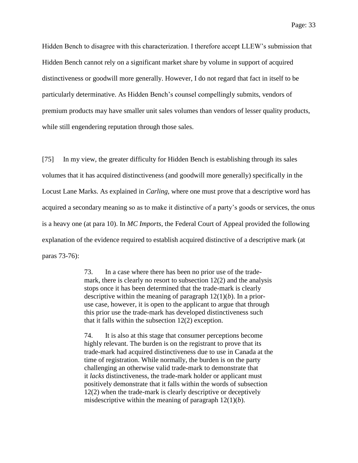Hidden Bench to disagree with this characterization. I therefore accept LLEW's submission that Hidden Bench cannot rely on a significant market share by volume in support of acquired distinctiveness or goodwill more generally. However, I do not regard that fact in itself to be particularly determinative. As Hidden Bench's counsel compellingly submits, vendors of premium products may have smaller unit sales volumes than vendors of lesser quality products, while still engendering reputation through those sales.

[75] In my view, the greater difficulty for Hidden Bench is establishing through its sales volumes that it has acquired distinctiveness (and goodwill more generally) specifically in the Locust Lane Marks. As explained in *Carling*, where one must prove that a descriptive word has acquired a secondary meaning so as to make it distinctive of a party's goods or services, the onus is a heavy one (at para 10). In *MC Imports*, the Federal Court of Appeal provided the following explanation of the evidence required to establish acquired distinctive of a descriptive mark (at paras 73-76):

> 73. In a case where there has been no prior use of the trademark, there is clearly no resort to subsection 12(2) and the analysis stops once it has been determined that the trade-mark is clearly descriptive within the meaning of paragraph 12(1)(*b*). In a prioruse case, however, it is open to the applicant to argue that through this prior use the trade-mark has developed distinctiveness such that it falls within the subsection 12(2) exception.

> 74. It is also at this stage that consumer perceptions become highly relevant. The burden is on the registrant to prove that its trade-mark had acquired distinctiveness due to use in Canada at the time of registration. While normally, the burden is on the party challenging an otherwise valid trade-mark to demonstrate that it *lacks* distinctiveness, the trade-mark holder or applicant must positively demonstrate that it falls within the words of subsection 12(2) when the trade-mark is clearly descriptive or deceptively misdescriptive within the meaning of paragraph 12(1)(*b*).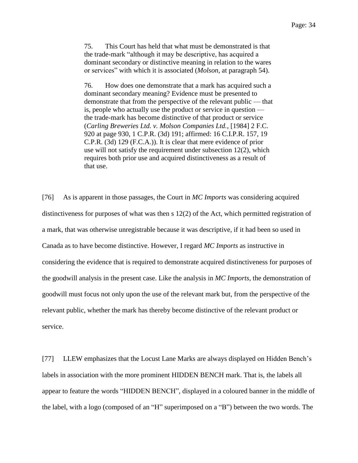75. This Court has held that what must be demonstrated is that the trade-mark "although it may be descriptive, has acquired a dominant secondary or distinctive meaning in relation to the wares or services" with which it is associated (*Molson*, at paragraph 54).

76. How does one demonstrate that a mark has acquired such a dominant secondary meaning? Evidence must be presented to demonstrate that from the perspective of the relevant public — that is, people who actually use the product or service in question the trade-mark has become distinctive of that product or service (*Carling Breweries Ltd. v. Molson Companies Ltd.*, [1984] 2 F.C. 920 at page 930, 1 C.P.R. (3d) 191; affirmed: 16 C.I.P.R. 157, 19 C.P.R. (3d) 129 (F.C.A.)). It is clear that mere evidence of prior use will not satisfy the requirement under subsection 12(2), which requires both prior use and acquired distinctiveness as a result of that use.

[76] As is apparent in those passages, the Court in *MC Imports* was considering acquired distinctiveness for purposes of what was then s 12(2) of the Act, which permitted registration of a mark, that was otherwise unregistrable because it was descriptive, if it had been so used in Canada as to have become distinctive. However, I regard *MC Imports* as instructive in considering the evidence that is required to demonstrate acquired distinctiveness for purposes of the goodwill analysis in the present case. Like the analysis in *MC Imports*, the demonstration of goodwill must focus not only upon the use of the relevant mark but, from the perspective of the relevant public, whether the mark has thereby become distinctive of the relevant product or service.

[77] LLEW emphasizes that the Locust Lane Marks are always displayed on Hidden Bench's labels in association with the more prominent HIDDEN BENCH mark. That is, the labels all appear to feature the words "HIDDEN BENCH", displayed in a coloured banner in the middle of the label, with a logo (composed of an "H" superimposed on a "B") between the two words. The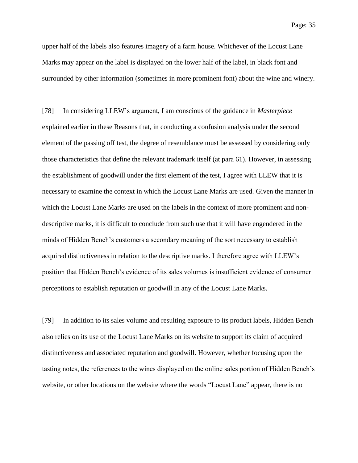upper half of the labels also features imagery of a farm house. Whichever of the Locust Lane Marks may appear on the label is displayed on the lower half of the label, in black font and surrounded by other information (sometimes in more prominent font) about the wine and winery.

[78] In considering LLEW's argument, I am conscious of the guidance in *Masterpiece* explained earlier in these Reasons that, in conducting a confusion analysis under the second element of the passing off test, the degree of resemblance must be assessed by considering only those characteristics that define the relevant trademark itself (at para 61). However, in assessing the establishment of goodwill under the first element of the test, I agree with LLEW that it is necessary to examine the context in which the Locust Lane Marks are used. Given the manner in which the Locust Lane Marks are used on the labels in the context of more prominent and nondescriptive marks, it is difficult to conclude from such use that it will have engendered in the minds of Hidden Bench's customers a secondary meaning of the sort necessary to establish acquired distinctiveness in relation to the descriptive marks. I therefore agree with LLEW's position that Hidden Bench's evidence of its sales volumes is insufficient evidence of consumer perceptions to establish reputation or goodwill in any of the Locust Lane Marks.

[79] In addition to its sales volume and resulting exposure to its product labels, Hidden Bench also relies on its use of the Locust Lane Marks on its website to support its claim of acquired distinctiveness and associated reputation and goodwill. However, whether focusing upon the tasting notes, the references to the wines displayed on the online sales portion of Hidden Bench's website, or other locations on the website where the words "Locust Lane" appear, there is no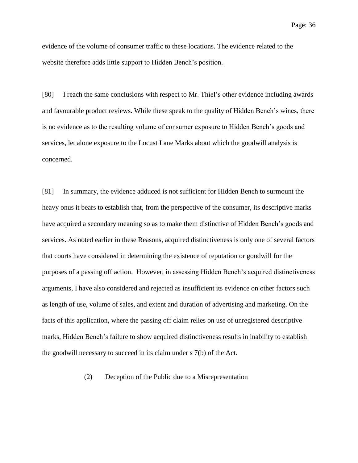evidence of the volume of consumer traffic to these locations. The evidence related to the website therefore adds little support to Hidden Bench's position.

[80] I reach the same conclusions with respect to Mr. Thiel's other evidence including awards and favourable product reviews. While these speak to the quality of Hidden Bench's wines, there is no evidence as to the resulting volume of consumer exposure to Hidden Bench's goods and services, let alone exposure to the Locust Lane Marks about which the goodwill analysis is concerned.

[81] In summary, the evidence adduced is not sufficient for Hidden Bench to surmount the heavy onus it bears to establish that, from the perspective of the consumer, its descriptive marks have acquired a secondary meaning so as to make them distinctive of Hidden Bench's goods and services. As noted earlier in these Reasons, acquired distinctiveness is only one of several factors that courts have considered in determining the existence of reputation or goodwill for the purposes of a passing off action. However, in assessing Hidden Bench's acquired distinctiveness arguments, I have also considered and rejected as insufficient its evidence on other factors such as length of use, volume of sales, and extent and duration of advertising and marketing. On the facts of this application, where the passing off claim relies on use of unregistered descriptive marks, Hidden Bench's failure to show acquired distinctiveness results in inability to establish the goodwill necessary to succeed in its claim under s 7(b) of the Act.

(2) Deception of the Public due to a Misrepresentation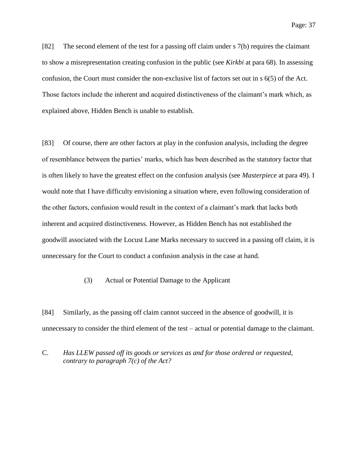Page: 37

[82] The second element of the test for a passing off claim under s 7(b) requires the claimant to show a misrepresentation creating confusion in the public (see *Kirkbi* at para 68). In assessing confusion, the Court must consider the non-exclusive list of factors set out in s 6(5) of the Act. Those factors include the inherent and acquired distinctiveness of the claimant's mark which, as explained above, Hidden Bench is unable to establish.

[83] Of course, there are other factors at play in the confusion analysis, including the degree of resemblance between the parties' marks, which has been described as the statutory factor that is often likely to have the greatest effect on the confusion analysis (see *Masterpiece* at para 49). I would note that I have difficulty envisioning a situation where, even following consideration of the other factors, confusion would result in the context of a claimant's mark that lacks both inherent and acquired distinctiveness. However, as Hidden Bench has not established the goodwill associated with the Locust Lane Marks necessary to succeed in a passing off claim, it is unnecessary for the Court to conduct a confusion analysis in the case at hand.

(3) Actual or Potential Damage to the Applicant

[84] Similarly, as the passing off claim cannot succeed in the absence of goodwill, it is unnecessary to consider the third element of the test – actual or potential damage to the claimant.

C. *Has LLEW passed off its goods or services as and for those ordered or requested, contrary to paragraph 7(c) of the Act?*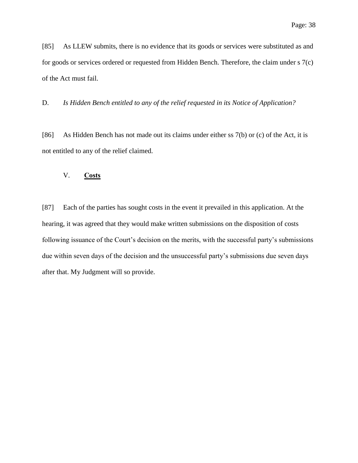[85] As LLEW submits, there is no evidence that its goods or services were substituted as and for goods or services ordered or requested from Hidden Bench. Therefore, the claim under s 7(c) of the Act must fail.

D. *Is Hidden Bench entitled to any of the relief requested in its Notice of Application?*

[86] As Hidden Bench has not made out its claims under either ss 7(b) or (c) of the Act, it is not entitled to any of the relief claimed.

## V. **Costs**

[87] Each of the parties has sought costs in the event it prevailed in this application. At the hearing, it was agreed that they would make written submissions on the disposition of costs following issuance of the Court's decision on the merits, with the successful party's submissions due within seven days of the decision and the unsuccessful party's submissions due seven days after that. My Judgment will so provide.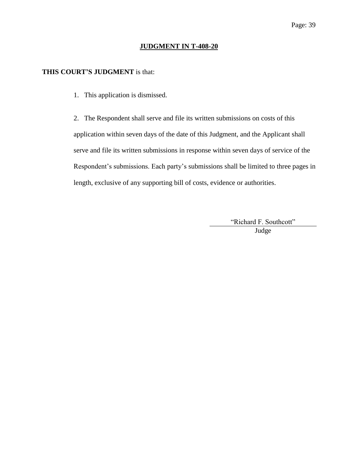### **JUDGMENT IN T-408-20**

## **THIS COURT'S JUDGMENT** is that:

1. This application is dismissed.

2. The Respondent shall serve and file its written submissions on costs of this application within seven days of the date of this Judgment, and the Applicant shall serve and file its written submissions in response within seven days of service of the Respondent's submissions. Each party's submissions shall be limited to three pages in length, exclusive of any supporting bill of costs, evidence or authorities.

> "Richard F. Southcott" Judge